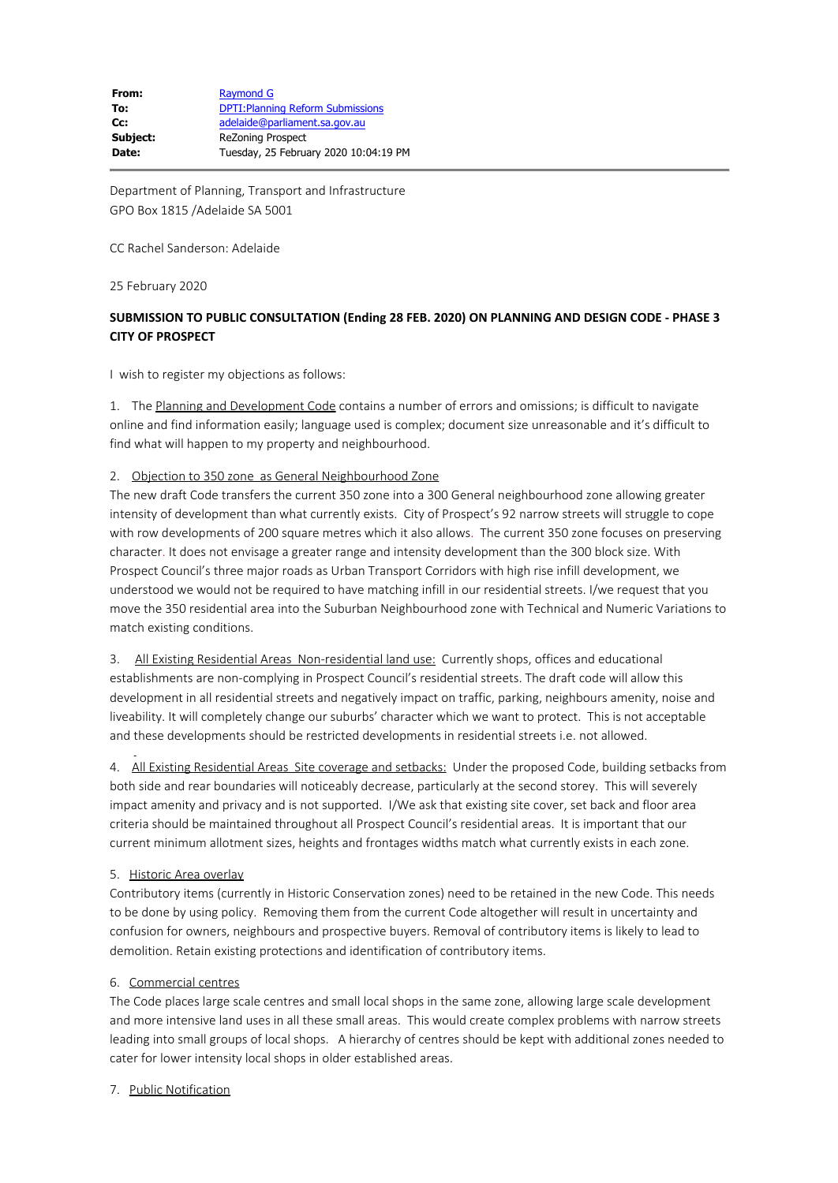Department of Planning, Transport and Infrastructure GPO Box 1815 /Adelaide SA 5001

CC Rachel Sanderson: Adelaide

25 February 2020

# **SUBMISSION TO PUBLIC CONSULTATION (Ending 28 FEB. 2020) ON PLANNING AND DESIGN CODE - PHASE 3 CITY OF PROSPECT**

I wish to register my objections as follows:

1. The Planning and Development Code contains a number of errors and omissions; is difficult to navigate online and find information easily; language used is complex; document size unreasonable and it's difficult to find what will happen to my property and neighbourhood.

#### 2. Objection to 350 zone as General Neighbourhood Zone

The new draft Code transfers the current 350 zone into a 300 General neighbourhood zone allowing greater intensity of development than what currently exists. City of Prospect's 92 narrow streets will struggle to cope with row developments of 200 square metres which it also allows. The current 350 zone focuses on preserving character. It does not envisage a greater range and intensity development than the 300 block size. With Prospect Council's three major roads as Urban Transport Corridors with high rise infill development, we understood we would not be required to have matching infill in our residential streets. I/we request that you move the 350 residential area into the Suburban Neighbourhood zone with Technical and Numeric Variations to match existing conditions.

3. All Existing Residential Areas Non-residential land use: Currently shops, offices and educational establishments are non-complying in Prospect Council's residential streets. The draft code will allow this development in all residential streets and negatively impact on traffic, parking, neighbours amenity, noise and liveability. It will completely change our suburbs' character which we want to protect. This is not acceptable and these developments should be restricted developments in residential streets i.e. not allowed.

4. All Existing Residential Areas Site coverage and setbacks: Under the proposed Code, building setbacks from both side and rear boundaries will noticeably decrease, particularly at the second storey. This will severely impact amenity and privacy and is not supported. I/We ask that existing site cover, set back and floor area criteria should be maintained throughout all Prospect Council's residential areas. It is important that our current minimum allotment sizes, heights and frontages widths match what currently exists in each zone.

# 5. Historic Area overlay

Contributory items (currently in Historic Conservation zones) need to be retained in the new Code. This needs to be done by using policy. Removing them from the current Code altogether will result in uncertainty and confusion for owners, neighbours and prospective buyers. Removal of contributory items is likely to lead to demolition. Retain existing protections and identification of contributory items.

# 6. Commercial centres

The Code places large scale centres and small local shops in the same zone, allowing large scale development and more intensive land uses in all these small areas. This would create complex problems with narrow streets leading into small groups of local shops. A hierarchy of centres should be kept with additional zones needed to cater for lower intensity local shops in older established areas.

# 7. Public Notification